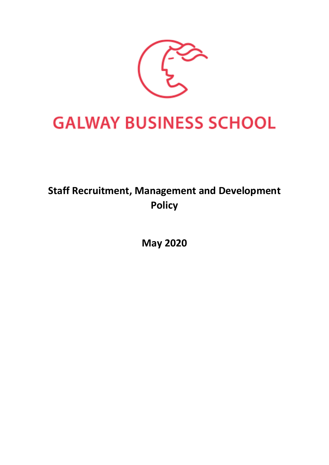

# **GALWAY BUSINESS SCHOOL**

## **Staff Recruitment, Management and Development Policy**

**May 2020**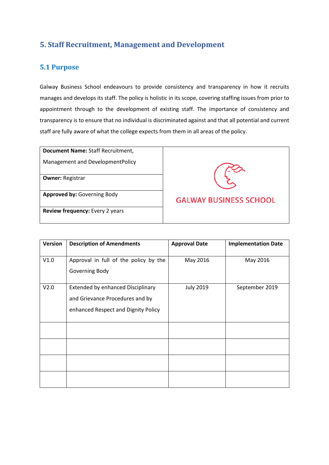## **5. Staff Recruitment, Management and Development**

## **5.1 Purpose**

Galway Business School endeavours to provide consistency and transparency in how it recruits manages and develops its staff. The policy is holistic in its scope, covering staffing issues from prior to appointment through to the development of existing staff. The importance of consistency and transparency is to ensure that no individual is discriminated against and that all potential and current staff are fully aware of what the college expects from them in all areas of the policy.

| Document Name: Staff Recruitment,  |                               |
|------------------------------------|-------------------------------|
| Management and DevelopmentPolicy   |                               |
| <b>Owner: Registrar</b>            |                               |
| <b>Approved by: Governing Body</b> | <b>GALWAY BUSINESS SCHOOL</b> |
| Review frequency: Every 2 years    |                               |

| Version | <b>Description of Amendments</b>                                                                                   | <b>Approval Date</b> | <b>Implementation Date</b> |
|---------|--------------------------------------------------------------------------------------------------------------------|----------------------|----------------------------|
| V1.0    | Approval in full of the policy by the<br>Governing Body                                                            | May 2016             | May 2016                   |
| V2.0    | <b>Extended by enhanced Disciplinary</b><br>and Grievance Procedures and by<br>enhanced Respect and Dignity Policy | <b>July 2019</b>     | September 2019             |
|         |                                                                                                                    |                      |                            |
|         |                                                                                                                    |                      |                            |
|         |                                                                                                                    |                      |                            |
|         |                                                                                                                    |                      |                            |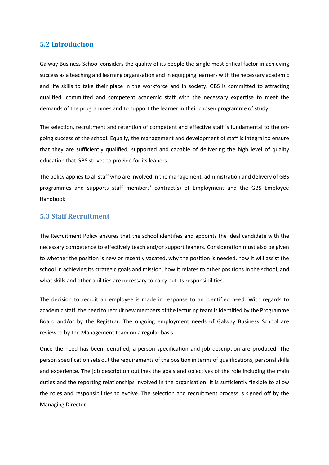## **5.2 Introduction**

Galway Business School considers the quality of its people the single most critical factor in achieving success as a teaching and learning organisation and in equipping learners with the necessary academic and life skills to take their place in the workforce and in society. GBS is committed to attracting qualified, committed and competent academic staff with the necessary expertise to meet the demands of the programmes and to support the learner in their chosen programme of study.

The selection, recruitment and retention of competent and effective staff is fundamental to the ongoing success of the school. Equally, the management and development of staff is integral to ensure that they are sufficiently qualified, supported and capable of delivering the high level of quality education that GBS strives to provide for its leaners.

The policy applies to all staff who are involved in the management, administration and delivery of GBS programmes and supports staff members' contract(s) of Employment and the GBS Employee Handbook.

## **5.3 Staff Recruitment**

The Recruitment Policy ensures that the school identifies and appoints the ideal candidate with the necessary competence to effectively teach and/or support leaners. Consideration must also be given to whether the position is new or recently vacated, why the position is needed, how it will assist the school in achieving its strategic goals and mission, how it relates to other positions in the school, and what skills and other abilities are necessary to carry out its responsibilities.

The decision to recruit an employee is made in response to an identified need. With regards to academic staff, the need to recruit new members of the lecturing team is identified by the Programme Board and/or by the Registrar. The ongoing employment needs of Galway Business School are reviewed by the Management team on a regular basis.

Once the need has been identified, a person specification and job description are produced. The person specification sets out the requirements of the position in terms of qualifications, personal skills and experience. The job description outlines the goals and objectives of the role including the main duties and the reporting relationships involved in the organisation. It is sufficiently flexible to allow the roles and responsibilities to evolve. The selection and recruitment process is signed off by the Managing Director.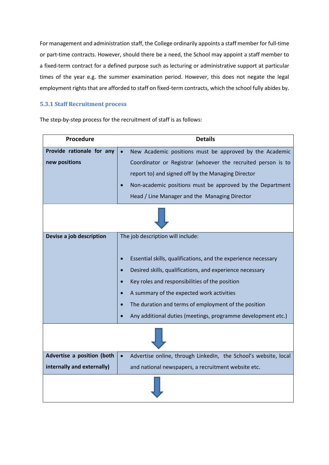For management and administration staff, the College ordinarily appoints a staff member for full-time or part-time contracts. However, should there be a need, the School may appoint a staff member to a fixed-term contract for a defined purpose such as lecturing or administrative support at particular times of the year e.g. the summer examination period. However, this does not negate the legal employment rights that are afforded to staff on fixed-term contracts, which the school fully abides by.

## **5.3.1 Staff Recruitment process**

| Procedure                                  | <b>Details</b>                                                                                                                                                                                                                                                                                                                                                                         |  |  |  |
|--------------------------------------------|----------------------------------------------------------------------------------------------------------------------------------------------------------------------------------------------------------------------------------------------------------------------------------------------------------------------------------------------------------------------------------------|--|--|--|
| Provide rationale for any<br>new positions | New Academic positions must be approved by the Academic<br>Coordinator or Registrar (whoever the recruited person is to<br>report to) and signed off by the Managing Director<br>Non-academic positions must be approved by the Department<br>Head / Line Manager and the Managing Director                                                                                            |  |  |  |
|                                            |                                                                                                                                                                                                                                                                                                                                                                                        |  |  |  |
| Devise a job description                   | The job description will include:<br>Essential skills, qualifications, and the experience necessary<br>Desired skills, qualifications, and experience necessary<br>Key roles and responsibilities of the position<br>A summary of the expected work activities<br>The duration and terms of employment of the position<br>Any additional duties (meetings, programme development etc.) |  |  |  |
|                                            |                                                                                                                                                                                                                                                                                                                                                                                        |  |  |  |
| Advertise a position (both                 | Advertise online, through LinkedIn, the School's website, local<br>$\bullet$                                                                                                                                                                                                                                                                                                           |  |  |  |
| internally and externally)                 | and national newspapers, a recruitment website etc.                                                                                                                                                                                                                                                                                                                                    |  |  |  |
|                                            |                                                                                                                                                                                                                                                                                                                                                                                        |  |  |  |

The step-by-step process for the recruitment of staff is as follows: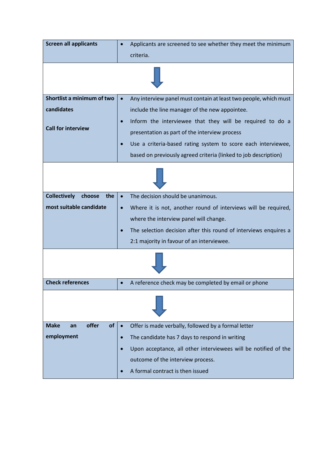| <b>Screen all applicants</b>         | Applicants are screened to see whether they meet the minimum                 |  |  |  |
|--------------------------------------|------------------------------------------------------------------------------|--|--|--|
|                                      | criteria.                                                                    |  |  |  |
|                                      |                                                                              |  |  |  |
| Shortlist a minimum of two           | Any interview panel must contain at least two people, which must             |  |  |  |
| candidates                           | include the line manager of the new appointee.                               |  |  |  |
| <b>Call for interview</b>            | Inform the interviewee that they will be required to do a                    |  |  |  |
|                                      | presentation as part of the interview process                                |  |  |  |
|                                      | Use a criteria-based rating system to score each interviewee,                |  |  |  |
|                                      | based on previously agreed criteria (linked to job description)              |  |  |  |
|                                      |                                                                              |  |  |  |
| <b>Collectively</b><br>choose<br>the | The decision should be unanimous.<br>$\bullet$                               |  |  |  |
| most suitable candidate              | Where it is not, another round of interviews will be required,<br>$\bullet$  |  |  |  |
|                                      | where the interview panel will change.                                       |  |  |  |
|                                      | The selection decision after this round of interviews enquires a             |  |  |  |
|                                      | 2:1 majority in favour of an interviewee.                                    |  |  |  |
|                                      |                                                                              |  |  |  |
| <b>Check references</b>              | A reference check may be completed by email or phone                         |  |  |  |
|                                      |                                                                              |  |  |  |
| offer<br>of<br><b>Make</b><br>an     | Offer is made verbally, followed by a formal letter<br>$\bullet$             |  |  |  |
| employment                           | The candidate has 7 days to respond in writing<br>$\bullet$                  |  |  |  |
|                                      | Upon acceptance, all other interviewees will be notified of the<br>$\bullet$ |  |  |  |
|                                      | outcome of the interview process.                                            |  |  |  |
|                                      | A formal contract is then issued                                             |  |  |  |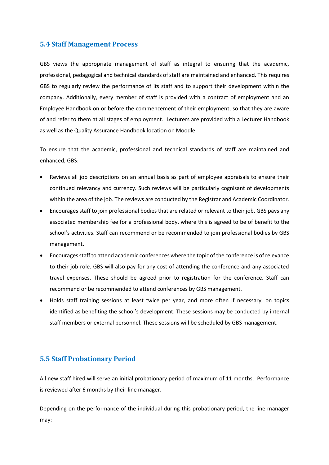## **5.4 Staff Management Process**

GBS views the appropriate management of staff as integral to ensuring that the academic, professional, pedagogical and technical standards of staff are maintained and enhanced. This requires GBS to regularly review the performance of its staff and to support their development within the company. Additionally, every member of staff is provided with a contract of employment and an Employee Handbook on or before the commencement of their employment, so that they are aware of and refer to them at all stages of employment. Lecturers are provided with a Lecturer Handbook as well as the Quality Assurance Handbook location on Moodle.

To ensure that the academic, professional and technical standards of staff are maintained and enhanced, GBS:

- Reviews all job descriptions on an annual basis as part of employee appraisals to ensure their continued relevancy and currency. Such reviews will be particularly cognisant of developments within the area of the job. The reviews are conducted by the Registrar and Academic Coordinator.
- Encourages staff to join professional bodies that are related or relevant to their job. GBS pays any associated membership fee for a professional body, where this is agreed to be of benefit to the school's activities. Staff can recommend or be recommended to join professional bodies by GBS management.
- Encourages staff to attend academic conferences where the topic of the conference is of relevance to their job role. GBS will also pay for any cost of attending the conference and any associated travel expenses. These should be agreed prior to registration for the conference. Staff can recommend or be recommended to attend conferences by GBS management.
- Holds staff training sessions at least twice per year, and more often if necessary, on topics identified as benefiting the school's development. These sessions may be conducted by internal staff members or external personnel. These sessions will be scheduled by GBS management.

## **5.5 Staff Probationary Period**

All new staff hired will serve an initial probationary period of maximum of 11 months. Performance is reviewed after 6 months by their line manager.

Depending on the performance of the individual during this probationary period, the line manager may: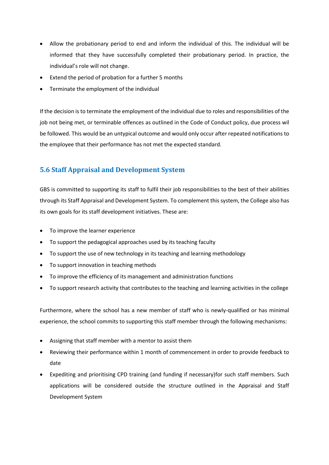- Allow the probationary period to end and inform the individual of this. The individual will be informed that they have successfully completed their probationary period. In practice, the individual's role will not change.
- Extend the period of probation for a further 5 months
- Terminate the employment of the individual

If the decision is to terminate the employment of the individual due to roles and responsibilities of the job not being met, or terminable offences as outlined in the Code of Conduct policy, due process wil be followed. This would be an untypical outcome and would only occur after repeated notifications to the employee that their performance has not met the expected standard.

## **5.6 Staff Appraisal and Development System**

GBS is committed to supporting its staff to fulfil their job responsibilities to the best of their abilities through its Staff Appraisal and Development System. To complement this system, the College also has its own goals for its staff development initiatives. These are:

- To improve the learner experience
- To support the pedagogical approaches used by its teaching faculty
- To support the use of new technology in its teaching and learning methodology
- To support innovation in teaching methods
- To improve the efficiency of its management and administration functions
- To support research activity that contributes to the teaching and learning activities in the college

Furthermore, where the school has a new member of staff who is newly-qualified or has minimal experience, the school commits to supporting this staff member through the following mechanisms:

- Assigning that staff member with a mentor to assist them
- Reviewing their performance within 1 month of commencement in order to provide feedback to date
- Expediting and prioritising CPD training (and funding if necessary)for such staff members. Such applications will be considered outside the structure outlined in the Appraisal and Staff Development System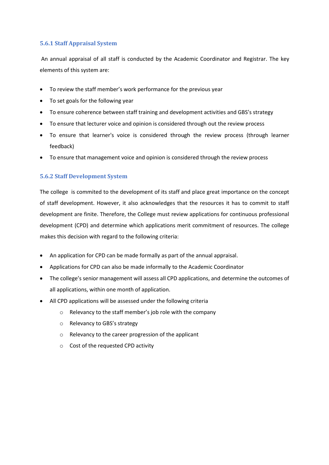## **5.6.1 Staff Appraisal System**

An annual appraisal of all staff is conducted by the Academic Coordinator and Registrar. The key elements of this system are:

- To review the staff member's work performance for the previous year
- To set goals for the following year
- To ensure coherence between staff training and development activities and GBS's strategy
- To ensure that lecturer voice and opinion is considered through out the review process
- To ensure that learner's voice is considered through the review process (through learner feedback)
- To ensure that management voice and opinion is considered through the review process

## **5.6.2 Staff Development System**

The college is commited to the development of its staff and place great importance on the concept of staff development. However, it also acknowledges that the resources it has to commit to staff development are finite. Therefore, the College must review applications for continuous professional development (CPD) and determine which applications merit commitment of resources. The college makes this decision with regard to the following criteria:

- An application for CPD can be made formally as part of the annual appraisal.
- Applications for CPD can also be made informally to the Academic Coordinator
- The college's senior management will assess all CPD applications, and determine the outcomes of all applications, within one month of application.
- All CPD applications will be assessed under the following criteria
	- o Relevancy to the staff member's job role with the company
	- o Relevancy to GBS's strategy
	- o Relevancy to the career progression of the applicant
	- o Cost of the requested CPD activity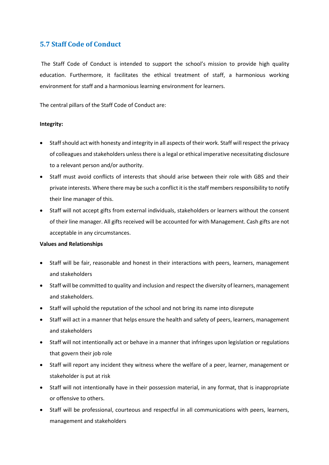## **5.7 Staff Code of Conduct**

The Staff Code of Conduct is intended to support the school's mission to provide high quality education. Furthermore, it facilitates the ethical treatment of staff, a harmonious working environment for staff and a harmonious learning environment for learners.

The central pillars of the Staff Code of Conduct are:

## **Integrity:**

- Staff should act with honesty and integrity in all aspects of their work. Staff will respect the privacy of colleagues and stakeholders unless there is a legal or ethical imperative necessitating disclosure to a relevant person and/or authority.
- Staff must avoid conflicts of interests that should arise between their role with GBS and their private interests. Where there may be such a conflict it is the staff members responsibility to notify their line manager of this.
- Staff will not accept gifts from external individuals, stakeholders or learners without the consent of their line manager. All gifts received will be accounted for with Management. Cash gifts are not acceptable in any circumstances.

#### **Values and Relationships**

- Staff will be fair, reasonable and honest in their interactions with peers, learners, management and stakeholders
- Staff will be committed to quality and inclusion and respect the diversity of learners, management and stakeholders.
- Staff will uphold the reputation of the school and not bring its name into disrepute
- Staff will act in a manner that helps ensure the health and safety of peers, learners, management and stakeholders
- Staff will not intentionally act or behave in a manner that infringes upon legislation or regulations that govern their job role
- Staff will report any incident they witness where the welfare of a peer, learner, management or stakeholder is put at risk
- Staff will not intentionally have in their possession material, in any format, that is inappropriate or offensive to others.
- Staff will be professional, courteous and respectful in all communications with peers, learners, management and stakeholders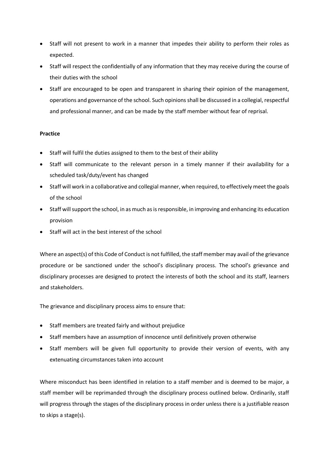- Staff will not present to work in a manner that impedes their ability to perform their roles as expected.
- Staff will respect the confidentially of any information that they may receive during the course of their duties with the school
- Staff are encouraged to be open and transparent in sharing their opinion of the management, operations and governance of the school. Such opinions shall be discussed in a collegial, respectful and professional manner, and can be made by the staff member without fear of reprisal.

## **Practice**

- Staff will fulfil the duties assigned to them to the best of their ability
- Staff will communicate to the relevant person in a timely manner if their availability for a scheduled task/duty/event has changed
- Staff will work in a collaborative and collegial manner, when required, to effectively meet the goals of the school
- Staff will support the school, in as much as is responsible, in improving and enhancing its education provision
- Staff will act in the best interest of the school

Where an aspect(s) of this Code of Conduct is not fulfilled, the staff member may avail of the grievance procedure or be sanctioned under the school's disciplinary process. The school's grievance and disciplinary processes are designed to protect the interests of both the school and its staff, learners and stakeholders.

The grievance and disciplinary process aims to ensure that:

- Staff members are treated fairly and without prejudice
- Staff members have an assumption of innocence until definitively proven otherwise
- Staff members will be given full opportunity to provide their version of events, with any extenuating circumstances taken into account

Where misconduct has been identified in relation to a staff member and is deemed to be major, a staff member will be reprimanded through the disciplinary process outlined below. Ordinarily, staff will progress through the stages of the disciplinary process in order unless there is a justifiable reason to skips a stage(s).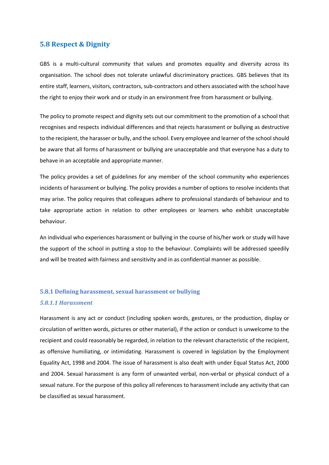## **5.8 Respect & Dignity**

GBS is a multi-cultural community that values and promotes equality and diversity across its organisation. The school does not tolerate unlawful discriminatory practices. GBS believes that its entire staff, learners, visitors, contractors, sub-contractors and others associated with the school have the right to enjoy their work and or study in an environment free from harassment or bullying.

The policy to promote respect and dignity sets out our commitment to the promotion of a school that recognises and respects individual differences and that rejects harassment or bullying as destructive to the recipient, the harasser or bully, and the school. Every employee and learner of the school should be aware that all forms of harassment or bullying are unacceptable and that everyone has a duty to behave in an acceptable and appropriate manner.

The policy provides a set of guidelines for any member of the school community who experiences incidents of harassment or bullying. The policy provides a number of options to resolve incidents that may arise. The policy requires that colleagues adhere to professional standards of behaviour and to take appropriate action in relation to other employees or learners who exhibit unacceptable behaviour.

An individual who experiences harassment or bullying in the course of his/her work or study will have the support of the school in putting a stop to the behaviour. Complaints will be addressed speedily and will be treated with fairness and sensitivity and in as confidential manner as possible.

## **5.8.1 Defining harassment, sexual harassment or bullying**

#### *5.8.1.1 Harassment*

Harassment is any act or conduct (including spoken words, gestures, or the production, display or circulation of written words, pictures or other material), if the action or conduct is unwelcome to the recipient and could reasonably be regarded, in relation to the relevant characteristic of the recipient, as offensive humiliating, or intimidating. Harassment is covered in legislation by the Employment Equality Act, 1998 and 2004. The issue of harassment is also dealt with under Equal Status Act, 2000 and 2004. Sexual harassment is any form of unwanted verbal, non-verbal or physical conduct of a sexual nature. For the purpose of this policy all references to harassment include any activity that can be classified as sexual harassment.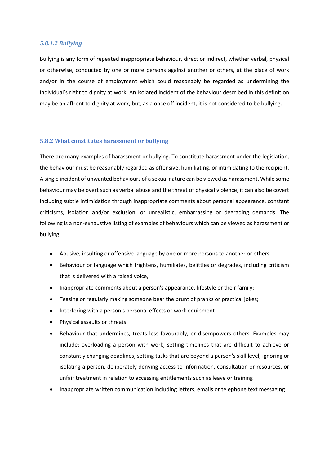#### *5.8.1.2 Bullying*

Bullying is any form of repeated inappropriate behaviour, direct or indirect, whether verbal, physical or otherwise, conducted by one or more persons against another or others, at the place of work and/or in the course of employment which could reasonably be regarded as undermining the individual's right to dignity at work. An isolated incident of the behaviour described in this definition may be an affront to dignity at work, but, as a once off incident, it is not considered to be bullying.

#### **5.8.2 What constitutes harassment or bullying**

There are many examples of harassment or bullying. To constitute harassment under the legislation, the behaviour must be reasonably regarded as offensive, humiliating, or intimidating to the recipient. A single incident of unwanted behaviours of a sexual nature can be viewed as harassment. While some behaviour may be overt such as verbal abuse and the threat of physical violence, it can also be covert including subtle intimidation through inappropriate comments about personal appearance, constant criticisms, isolation and/or exclusion, or unrealistic, embarrassing or degrading demands. The following is a non-exhaustive listing of examples of behaviours which can be viewed as harassment or bullying.

- Abusive, insulting or offensive language by one or more persons to another or others.
- Behaviour or language which frightens, humiliates, belittles or degrades, including criticism that is delivered with a raised voice,
- Inappropriate comments about a person's appearance, lifestyle or their family;
- Teasing or regularly making someone bear the brunt of pranks or practical jokes;
- Interfering with a person's personal effects or work equipment
- Physical assaults or threats
- Behaviour that undermines, treats less favourably, or disempowers others. Examples may include: overloading a person with work, setting timelines that are difficult to achieve or constantly changing deadlines, setting tasks that are beyond a person's skill level, ignoring or isolating a person, deliberately denying access to information, consultation or resources, or unfair treatment in relation to accessing entitlements such as leave or training
- Inappropriate written communication including letters, emails or telephone text messaging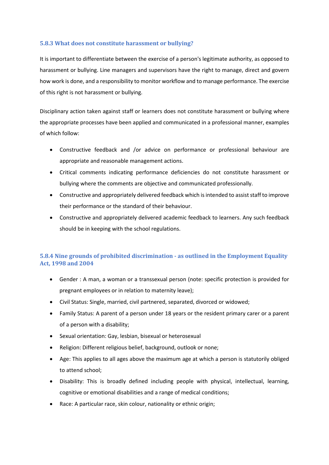## **5.8.3 What does not constitute harassment or bullying?**

It is important to differentiate between the exercise of a person's legitimate authority, as opposed to harassment or bullying. Line managers and supervisors have the right to manage, direct and govern how work is done, and a responsibility to monitor workflow and to manage performance. The exercise of this right is not harassment or bullying.

Disciplinary action taken against staff or learners does not constitute harassment or bullying where the appropriate processes have been applied and communicated in a professional manner, examples of which follow:

- Constructive feedback and /or advice on performance or professional behaviour are appropriate and reasonable management actions.
- Critical comments indicating performance deficiencies do not constitute harassment or bullying where the comments are objective and communicated professionally.
- Constructive and appropriately delivered feedback which is intended to assist staff to improve their performance or the standard of their behaviour.
- Constructive and appropriately delivered academic feedback to learners. Any such feedback should be in keeping with the school regulations.

## **5.8.4 Nine grounds of prohibited discrimination - as outlined in the Employment Equality Act, 1998 and 2004**

- Gender : A man, a woman or a transsexual person (note: specific protection is provided for pregnant employees or in relation to maternity leave);
- Civil Status: Single, married, civil partnered, separated, divorced or widowed;
- Family Status: A parent of a person under 18 years or the resident primary carer or a parent of a person with a disability;
- Sexual orientation: Gay, lesbian, bisexual or heterosexual
- Religion: Different religious belief, background, outlook or none;
- Age: This applies to all ages above the maximum age at which a person is statutorily obliged to attend school;
- Disability: This is broadly defined including people with physical, intellectual, learning, cognitive or emotional disabilities and a range of medical conditions;
- Race: A particular race, skin colour, nationality or ethnic origin;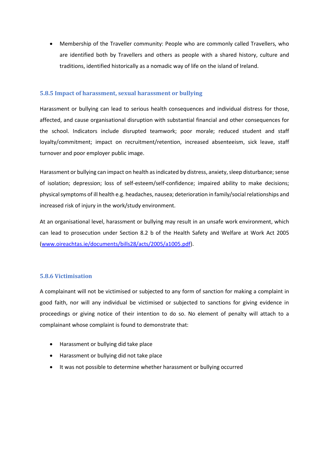• Membership of the Traveller community: People who are commonly called Travellers, who are identified both by Travellers and others as people with a shared history, culture and traditions, identified historically as a nomadic way of life on the island of Ireland.

#### **5.8.5 Impact of harassment, sexual harassment or bullying**

Harassment or bullying can lead to serious health consequences and individual distress for those, affected, and cause organisational disruption with substantial financial and other consequences for the school. Indicators include disrupted teamwork; poor morale; reduced student and staff loyalty/commitment; impact on recruitment/retention, increased absenteeism, sick leave, staff turnover and poor employer public image.

Harassment or bullying can impact on health as indicated by distress, anxiety, sleep disturbance; sense of isolation; depression; loss of self-esteem/self-confidence; impaired ability to make decisions; physical symptoms of ill health e.g. headaches, nausea; deterioration in family/social relationships and increased risk of injury in the work/study environment.

At an organisational level, harassment or bullying may result in an unsafe work environment, which can lead to prosecution under Section 8.2 b of the Health Safety and Welfare at Work Act 2005 [\(www.oireachtas.ie/documents/bills28/acts/2005/a1005.pdf\)](http://www.oireachtas.ie/documents/bills28/acts/2005/a1005.pdf).

#### **5.8.6 Victimisation**

A complainant will not be victimised or subjected to any form of sanction for making a complaint in good faith, nor will any individual be victimised or subjected to sanctions for giving evidence in proceedings or giving notice of their intention to do so. No element of penalty will attach to a complainant whose complaint is found to demonstrate that:

- Harassment or bullying did take place
- Harassment or bullying did not take place
- It was not possible to determine whether harassment or bullying occurred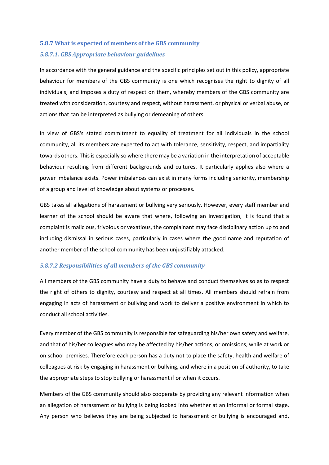## **5.8.7 What is expected of members of the GBS community** *5.8.7.1. GBS Appropriate behaviour guidelines*

In accordance with the general guidance and the specific principles set out in this policy, appropriate behaviour for members of the GBS community is one which recognises the right to dignity of all individuals, and imposes a duty of respect on them, whereby members of the GBS community are treated with consideration, courtesy and respect, without harassment, or physical or verbal abuse, or actions that can be interpreted as bullying or demeaning of others.

In view of GBS's stated commitment to equality of treatment for all individuals in the school community, all its members are expected to act with tolerance, sensitivity, respect, and impartiality towards others. This is especially so where there may be a variation in the interpretation of acceptable behaviour resulting from different backgrounds and cultures. It particularly applies also where a power imbalance exists. Power imbalances can exist in many forms including seniority, membership of a group and level of knowledge about systems or processes.

GBS takes all allegations of harassment or bullying very seriously. However, every staff member and learner of the school should be aware that where, following an investigation, it is found that a complaint is malicious, frivolous or vexatious, the complainant may face disciplinary action up to and including dismissal in serious cases, particularly in cases where the good name and reputation of another member of the school community has been unjustifiably attacked.

## *5.8.7.2 Responsibilities of all members of the GBS community*

All members of the GBS community have a duty to behave and conduct themselves so as to respect the right of others to dignity, courtesy and respect at all times. All members should refrain from engaging in acts of harassment or bullying and work to deliver a positive environment in which to conduct all school activities.

Every member of the GBS community is responsible for safeguarding his/her own safety and welfare, and that of his/her colleagues who may be affected by his/her actions, or omissions, while at work or on school premises. Therefore each person has a duty not to place the safety, health and welfare of colleagues at risk by engaging in harassment or bullying, and where in a position of authority, to take the appropriate steps to stop bullying or harassment if or when it occurs.

Members of the GBS community should also cooperate by providing any relevant information when an allegation of harassment or bullying is being looked into whether at an informal or formal stage. Any person who believes they are being subjected to harassment or bullying is encouraged and,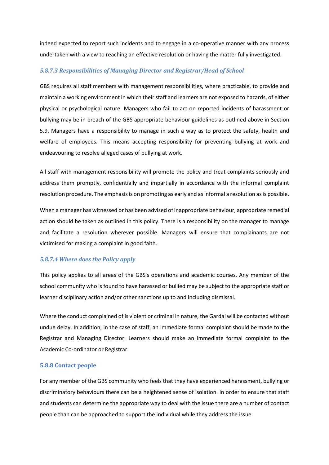indeed expected to report such incidents and to engage in a co-operative manner with any process undertaken with a view to reaching an effective resolution or having the matter fully investigated.

#### *5.8.7.3 Responsibilities of Managing Director and Registrar/Head of School*

GBS requires all staff members with management responsibilities, where practicable, to provide and maintain a working environment in which their staff and learners are not exposed to hazards, of either physical or psychological nature. Managers who fail to act on reported incidents of harassment or bullying may be in breach of the GBS appropriate behaviour guidelines as outlined above in Section 5.9. Managers have a responsibility to manage in such a way as to protect the safety, health and welfare of employees. This means accepting responsibility for preventing bullying at work and endeavouring to resolve alleged cases of bullying at work.

All staff with management responsibility will promote the policy and treat complaints seriously and address them promptly, confidentially and impartially in accordance with the informal complaint resolution procedure. The emphasis is on promoting as early and as informal a resolution as is possible.

When a manager has witnessed or has been advised of inappropriate behaviour, appropriate remedial action should be taken as outlined in this policy. There is a responsibility on the manager to manage and facilitate a resolution wherever possible. Managers will ensure that complainants are not victimised for making a complaint in good faith.

## *5.8.7.4 Where does the Policy apply*

This policy applies to all areas of the GBS's operations and academic courses. Any member of the school community who is found to have harassed or bullied may be subject to the appropriate staff or learner disciplinary action and/or other sanctions up to and including dismissal.

Where the conduct complained of is violent or criminal in nature, the Gardaí will be contacted without undue delay. In addition, in the case of staff, an immediate formal complaint should be made to the Registrar and Managing Director. Learners should make an immediate formal complaint to the Academic Co-ordinator or Registrar.

#### **5.8.8 Contact people**

For any member of the GBS community who feels that they have experienced harassment, bullying or discriminatory behaviours there can be a heightened sense of isolation. In order to ensure that staff and students can determine the appropriate way to deal with the issue there are a number of contact people than can be approached to support the individual while they address the issue.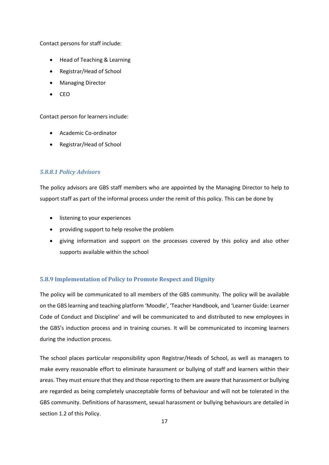Contact persons for staff include:

- Head of Teaching & Learning
- Registrar/Head of School
- Managing Director
- CEO

Contact person for learners include:

- Academic Co-ordinator
- Registrar/Head of School

## *5.8.8.1 Policy Advisors*

The policy advisors are GBS staff members who are appointed by the Managing Director to help to support staff as part of the informal process under the remit of this policy. This can be done by

- listening to your experiences
- providing support to help resolve the problem
- giving information and support on the processes covered by this policy and also other supports available within the school

## **5.8.9 Implementation of Policy to Promote Respect and Dignity**

The policy will be communicated to all members of the GBS community. The policy will be available on the GBS learning and teaching platform 'Moodle', 'Teacher Handbook, and 'Learner Guide: Learner Code of Conduct and Discipline' and will be communicated to and distributed to new employees in the GBS's induction process and in training courses. It will be communicated to incoming learners during the induction process.

The school places particular responsibility upon Registrar/Heads of School, as well as managers to make every reasonable effort to eliminate harassment or bullying of staff and learners within their areas. They must ensure that they and those reporting to them are aware that harassment or bullying are regarded as being completely unacceptable forms of behaviour and will not be tolerated in the GBS community. Definitions of harassment, sexual harassment or bullying behaviours are detailed in section 1.2 of this Policy.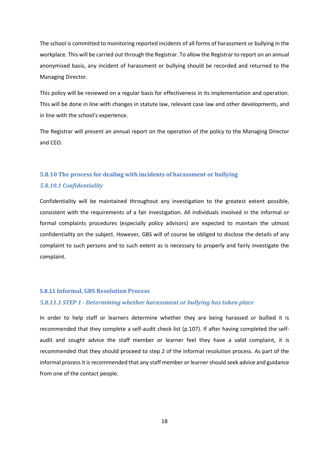The school is committed to monitoring reported incidents of all forms of harassment or bullying in the workplace. This will be carried out through the Registrar. To allow the Registrar to report on an annual anonymised basis, any incident of harassment or bullying should be recorded and returned to the Managing Director.

This policy will be reviewed on a regular basis for effectiveness in its implementation and operation. This will be done in line with changes in statute law, relevant case law and other developments, and in line with the school's experience.

The Registrar will present an annual report on the operation of the policy to the Managing Director and CEO.

## **5.8.10 The process for dealing with incidents of harassment or bullying** *5.8.10.1 Confidentiality*

Confidentiality will be maintained throughout any investigation to the greatest extent possible, consistent with the requirements of a fair investigation. All individuals involved in the informal or formal complaints procedures (especially policy advisors) are expected to maintain the utmost confidentiality on the subject. However, GBS will of course be obliged to disclose the details of any complaint to such persons and to such extent as is necessary to properly and fairly investigate the complaint.

#### **5.8.11 Informal, GBS Resolution Process**

#### *5.8.11.1 STEP 1 - Determining whether harassment or bullying has taken place*

In order to help staff or learners determine whether they are being harassed or bullied it is recommended that they complete a self-audit check list (p.107). If after having completed the selfaudit and sought advice the staff member or learner feel they have a valid complaint, it is recommended that they should proceed to step 2 of the informal resolution process. As part of the informal process it is recommended that any staff member or learner should seek advice and guidance from one of the contact people.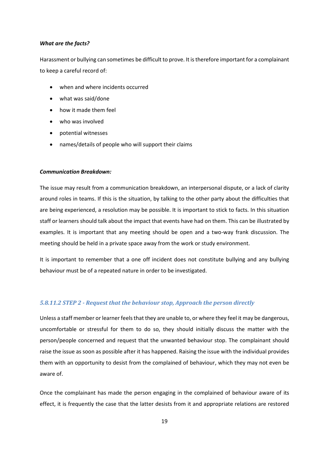#### *What are the facts?*

Harassment or bullying can sometimes be difficult to prove. It is therefore important for a complainant to keep a careful record of:

- when and where incidents occurred
- what was said/done
- how it made them feel
- who was involved
- potential witnesses
- names/details of people who will support their claims

#### *Communication Breakdown:*

The issue may result from a communication breakdown, an interpersonal dispute, or a lack of clarity around roles in teams. If this is the situation, by talking to the other party about the difficulties that are being experienced, a resolution may be possible. It is important to stick to facts. In this situation staff or learners should talk about the impact that events have had on them. This can be illustrated by examples. It is important that any meeting should be open and a two-way frank discussion. The meeting should be held in a private space away from the work or study environment.

It is important to remember that a one off incident does not constitute bullying and any bullying behaviour must be of a repeated nature in order to be investigated.

#### *5.8.11.2 STEP 2 - Request that the behaviour stop, Approach the person directly*

Unless a staff member or learner feels that they are unable to, or where they feel it may be dangerous, uncomfortable or stressful for them to do so, they should initially discuss the matter with the person/people concerned and request that the unwanted behaviour stop. The complainant should raise the issue as soon as possible after it has happened. Raising the issue with the individual provides them with an opportunity to desist from the complained of behaviour, which they may not even be aware of.

Once the complainant has made the person engaging in the complained of behaviour aware of its effect, it is frequently the case that the latter desists from it and appropriate relations are restored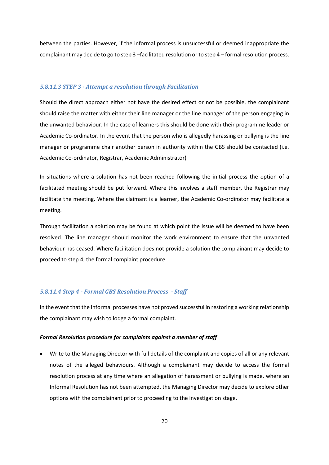between the parties. However, if the informal process is unsuccessful or deemed inappropriate the complainant may decide to go to step 3 –facilitated resolution or to step 4 – formal resolution process.

#### *5.8.11.3 STEP 3 - Attempt a resolution through Facilitation*

Should the direct approach either not have the desired effect or not be possible, the complainant should raise the matter with either their line manager or the line manager of the person engaging in the unwanted behaviour. In the case of learners this should be done with their programme leader or Academic Co-ordinator. In the event that the person who is allegedly harassing or bullying is the line manager or programme chair another person in authority within the GBS should be contacted (i.e. Academic Co-ordinator, Registrar, Academic Administrator)

In situations where a solution has not been reached following the initial process the option of a facilitated meeting should be put forward. Where this involves a staff member, the Registrar may facilitate the meeting. Where the claimant is a learner, the Academic Co-ordinator may facilitate a meeting.

Through facilitation a solution may be found at which point the issue will be deemed to have been resolved. The line manager should monitor the work environment to ensure that the unwanted behaviour has ceased. Where facilitation does not provide a solution the complainant may decide to proceed to step 4, the formal complaint procedure.

#### *5.8.11.4 Step 4 - Formal GBS Resolution Process - Staff*

In the event that the informal processes have not proved successful in restoring a working relationship the complainant may wish to lodge a formal complaint.

#### *Formal Resolution procedure for complaints against a member of staff*

• Write to the Managing Director with full details of the complaint and copies of all or any relevant notes of the alleged behaviours. Although a complainant may decide to access the formal resolution process at any time where an allegation of harassment or bullying is made, where an Informal Resolution has not been attempted, the Managing Director may decide to explore other options with the complainant prior to proceeding to the investigation stage.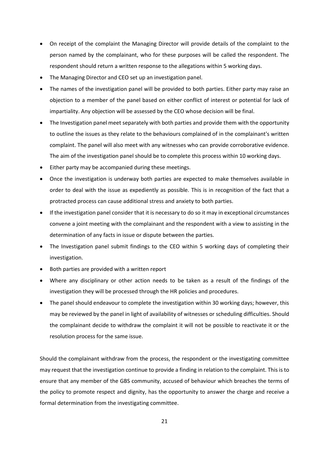- On receipt of the complaint the Managing Director will provide details of the complaint to the person named by the complainant, who for these purposes will be called the respondent. The respondent should return a written response to the allegations within 5 working days.
- The Managing Director and CEO set up an investigation panel.
- The names of the investigation panel will be provided to both parties. Either party may raise an objection to a member of the panel based on either conflict of interest or potential for lack of impartiality. Any objection will be assessed by the CEO whose decision will be final.
- The Investigation panel meet separately with both parties and provide them with the opportunity to outline the issues as they relate to the behaviours complained of in the complainant's written complaint. The panel will also meet with any witnesses who can provide corroborative evidence. The aim of the investigation panel should be to complete this process within 10 working days.
- Either party may be accompanied during these meetings.
- Once the investigation is underway both parties are expected to make themselves available in order to deal with the issue as expediently as possible. This is in recognition of the fact that a protracted process can cause additional stress and anxiety to both parties.
- If the investigation panel consider that it is necessary to do so it may in exceptional circumstances convene a joint meeting with the complainant and the respondent with a view to assisting in the determination of any facts in issue or dispute between the parties.
- The Investigation panel submit findings to the CEO within 5 working days of completing their investigation.
- Both parties are provided with a written report
- Where any disciplinary or other action needs to be taken as a result of the findings of the investigation they will be processed through the HR policies and procedures.
- The panel should endeavour to complete the investigation within 30 working days; however, this may be reviewed by the panel in light of availability of witnesses or scheduling difficulties. Should the complainant decide to withdraw the complaint it will not be possible to reactivate it or the resolution process for the same issue.

Should the complainant withdraw from the process, the respondent or the investigating committee may request that the investigation continue to provide a finding in relation to the complaint. This is to ensure that any member of the GBS community, accused of behaviour which breaches the terms of the policy to promote respect and dignity, has the opportunity to answer the charge and receive a formal determination from the investigating committee.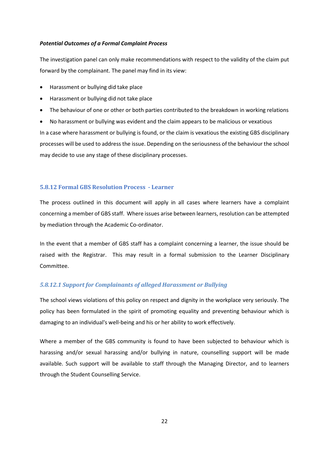#### *Potential Outcomes of a Formal Complaint Process*

The investigation panel can only make recommendations with respect to the validity of the claim put forward by the complainant. The panel may find in its view:

- Harassment or bullying did take place
- Harassment or bullying did not take place
- The behaviour of one or other or both parties contributed to the breakdown in working relations
- No harassment or bullying was evident and the claim appears to be malicious or vexatious

In a case where harassment or bullying is found, or the claim is vexatious the existing GBS disciplinary processes will be used to address the issue. Depending on the seriousness of the behaviour the school may decide to use any stage of these disciplinary processes.

#### **5.8.12 Formal GBS Resolution Process - Learner**

The process outlined in this document will apply in all cases where learners have a complaint concerning a member of GBS staff. Where issues arise between learners, resolution can be attempted by mediation through the Academic Co-ordinator.

In the event that a member of GBS staff has a complaint concerning a learner, the issue should be raised with the Registrar. This may result in a formal submission to the Learner Disciplinary Committee.

#### *5.8.12.1 Support for Complainants of alleged Harassment or Bullying*

The school views violations of this policy on respect and dignity in the workplace very seriously. The policy has been formulated in the spirit of promoting equality and preventing behaviour which is damaging to an individual's well-being and his or her ability to work effectively.

Where a member of the GBS community is found to have been subjected to behaviour which is harassing and/or sexual harassing and/or bullying in nature, counselling support will be made available. Such support will be available to staff through the Managing Director, and to learners through the Student Counselling Service.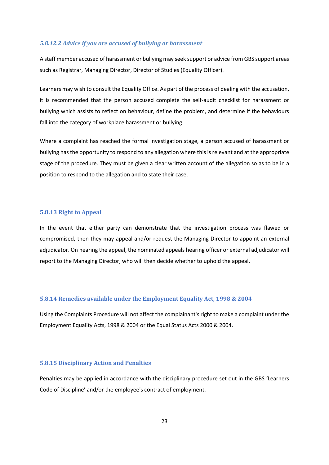#### *5.8.12.2 Advice if you are accused of bullying or harassment*

A staff member accused of harassment or bullying may seek support or advice from GBS support areas such as Registrar, Managing Director, Director of Studies (Equality Officer).

Learners may wish to consult the Equality Office. As part of the process of dealing with the accusation, it is recommended that the person accused complete the self-audit checklist for harassment or bullying which assists to reflect on behaviour, define the problem, and determine if the behaviours fall into the category of workplace harassment or bullying.

Where a complaint has reached the formal investigation stage, a person accused of harassment or bullying has the opportunity to respond to any allegation where this is relevant and at the appropriate stage of the procedure. They must be given a clear written account of the allegation so as to be in a position to respond to the allegation and to state their case.

#### **5.8.13 Right to Appeal**

In the event that either party can demonstrate that the investigation process was flawed or compromised, then they may appeal and/or request the Managing Director to appoint an external adjudicator. On hearing the appeal, the nominated appeals hearing officer or external adjudicator will report to the Managing Director, who will then decide whether to uphold the appeal.

#### **5.8.14 Remedies available under the Employment Equality Act, 1998 & 2004**

Using the Complaints Procedure will not affect the complainant's right to make a complaint under the Employment Equality Acts, 1998 & 2004 or the Equal Status Acts 2000 & 2004.

#### **5.8.15 Disciplinary Action and Penalties**

Penalties may be applied in accordance with the disciplinary procedure set out in the GBS 'Learners Code of Discipline' and/or the employee's contract of employment.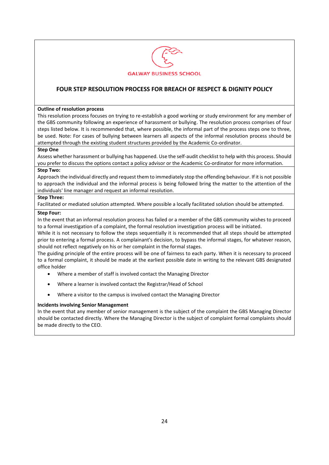

## **FOUR STEP RESOLUTION PROCESS FOR BREACH OF RESPECT & DIGNITY POLICY**

#### **Outline of resolution process**

This resolution process focuses on trying to re-establish a good working or study environment for any member of the GBS community following an experience of harassment or bullying. The resolution process comprises of four steps listed below. It is recommended that, where possible, the informal part of the process steps one to three, be used. Note: For cases of bullying between learners all aspects of the informal resolution process should be attempted through the existing student structures provided by the Academic Co-ordinator.

#### **Step One**

Assess whether harassment or bullying has happened. Use the self-audit checklist to help with this process. Should you prefer to discuss the options contact a policy advisor or the Academic Co-ordinator for more information.

#### **Step Two:**

Approach the individual directly and request them to immediately stop the offending behaviour. If it is not possible to approach the individual and the informal process is being followed bring the matter to the attention of the individuals' line manager and request an informal resolution.

#### **Step Three:**

Facilitated or mediated solution attempted. Where possible a locally facilitated solution should be attempted.

#### **Step Four:**

In the event that an informal resolution process has failed or a member of the GBS community wishes to proceed to a formal investigation of a complaint, the formal resolution investigation process will be initiated.

While it is not necessary to follow the steps sequentially it is recommended that all steps should be attempted prior to entering a formal process. A complainant's decision, to bypass the informal stages, for whatever reason, should not reflect negatively on his or her complaint in the formal stages.

The guiding principle of the entire process will be one of fairness to each party. When it is necessary to proceed to a formal complaint, it should be made at the earliest possible date in writing to the relevant GBS designated office holder

- Where a member of staff is involved contact the Managing Director
- Where a learner is involved contact the Registrar/Head of School
- Where a visitor to the campus is involved contact the Managing Director

#### **Incidents involving Senior Management**

In the event that any member of senior management is the subject of the complaint the GBS Managing Director should be contacted directly. Where the Managing Director is the subject of complaint formal complaints should be made directly to the CEO.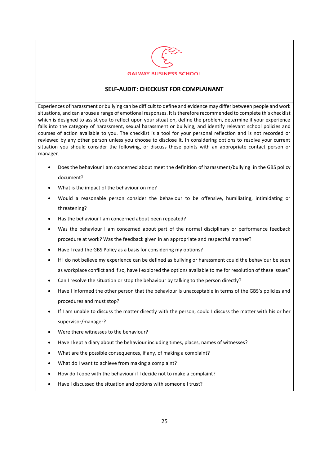

## **SELF-AUDIT: CHECKLIST FOR COMPLAINANT**

Experiences of harassment or bullying can be difficult to define and evidence may differ between people and work situations, and can arouse a range of emotional responses. It is therefore recommended to complete this checklist which is designed to assist you to reflect upon your situation, define the problem, determine if your experience falls into the category of harassment, sexual harassment or bullying, and identify relevant school policies and courses of action available to you. The checklist is a tool for your personal reflection and is not recorded or reviewed by any other person unless you choose to disclose it. In considering options to resolve your current situation you should consider the following, or discuss these points with an appropriate contact person or manager.

- Does the behaviour I am concerned about meet the definition of harassment/bullying in the GBS policy document?
- What is the impact of the behaviour on me?
- Would a reasonable person consider the behaviour to be offensive, humiliating, intimidating or threatening?
- Has the behaviour I am concerned about been repeated?
- Was the behaviour I am concerned about part of the normal disciplinary or performance feedback procedure at work? Was the feedback given in an appropriate and respectful manner?
- Have I read the GBS Policy as a basis for considering my options?
- If I do not believe my experience can be defined as bullying or harassment could the behaviour be seen as workplace conflict and if so, have I explored the options available to me for resolution of these issues?
- Can I resolve the situation or stop the behaviour by talking to the person directly?
- Have I informed the other person that the behaviour is unacceptable in terms of the GBS's policies and procedures and must stop?
- If I am unable to discuss the matter directly with the person, could I discuss the matter with his or her supervisor/manager?
- Were there witnesses to the behaviour?
- Have I kept a diary about the behaviour including times, places, names of witnesses?
- What are the possible consequences, if any, of making a complaint?
- What do I want to achieve from making a complaint?
- How do I cope with the behaviour if I decide not to make a complaint?
- Have I discussed the situation and options with someone I trust?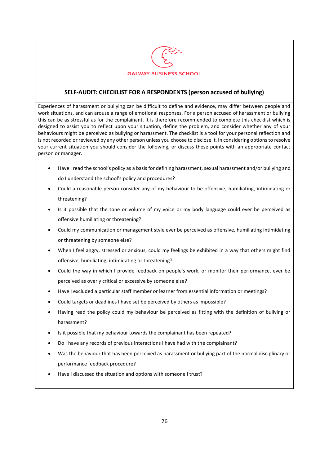

## **SELF-AUDIT: CHECKLIST FOR A RESPONDENTS (person accused of bullying)**

Experiences of harassment or bullying can be difficult to define and evidence, may differ between people and work situations, and can arouse a range of emotional responses. For a person accused of harassment or bullying this can be as stressful as for the complainant. It is therefore recommended to complete this checklist which is designed to assist you to reflect upon your situation, define the problem, and consider whether any of your behaviours might be perceived as bullying or harassment. The checklist is a tool for your personal reflection and is not recorded or reviewed by any other person unless you choose to disclose it. In considering options to resolve your current situation you should consider the following, or discuss these points with an appropriate contact person or manager.

- Have I read the school's policy as a basis for defining harassment, sexual harassment and/or bullying and do I understand the school's policy and procedures?
- Could a reasonable person consider any of my behaviour to be offensive, humiliating, intimidating or threatening?
- Is it possible that the tone or volume of my voice or my body language could ever be perceived as offensive humiliating or threatening?
- Could my communication or management style ever be perceived as offensive, humiliating intimidating or threatening by someone else?
- When I feel angry, stressed or anxious, could my feelings be exhibited in a way that others might find offensive, humiliating, intimidating or threatening?
- Could the way in which I provide feedback on people's work, or monitor their performance, ever be perceived as overly critical or excessive by someone else?
- Have I excluded a particular staff member or learner from essential information or meetings?
- Could targets or deadlines I have set be perceived by others as impossible?
- Having read the policy could my behaviour be perceived as fitting with the definition of bullying or harassment?
- Is it possible that my behaviour towards the complainant has been repeated?
- Do I have any records of previous interactions I have had with the complainant?
- Was the behaviour that has been perceived as harassment or bullying part of the normal disciplinary or performance feedback procedure?
- Have I discussed the situation and options with someone I trust?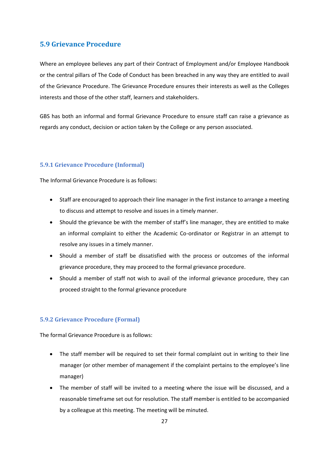## **5.9 Grievance Procedure**

Where an employee believes any part of their Contract of Employment and/or Employee Handbook or the central pillars of The Code of Conduct has been breached in any way they are entitled to avail of the Grievance Procedure. The Grievance Procedure ensures their interests as well as the Colleges interests and those of the other staff, learners and stakeholders.

GBS has both an informal and formal Grievance Procedure to ensure staff can raise a grievance as regards any conduct, decision or action taken by the College or any person associated.

#### **5.9.1 Grievance Procedure (Informal)**

The Informal Grievance Procedure is as follows:

- Staff are encouraged to approach their line manager in the first instance to arrange a meeting to discuss and attempt to resolve and issues in a timely manner.
- Should the grievance be with the member of staff's line manager, they are entitled to make an informal complaint to either the Academic Co-ordinator or Registrar in an attempt to resolve any issues in a timely manner.
- Should a member of staff be dissatisfied with the process or outcomes of the informal grievance procedure, they may proceed to the formal grievance procedure.
- Should a member of staff not wish to avail of the informal grievance procedure, they can proceed straight to the formal grievance procedure

#### **5.9.2 Grievance Procedure (Formal)**

The formal Grievance Procedure is as follows:

- The staff member will be required to set their formal complaint out in writing to their line manager (or other member of management if the complaint pertains to the employee's line manager)
- The member of staff will be invited to a meeting where the issue will be discussed, and a reasonable timeframe set out for resolution. The staff member is entitled to be accompanied by a colleague at this meeting. The meeting will be minuted.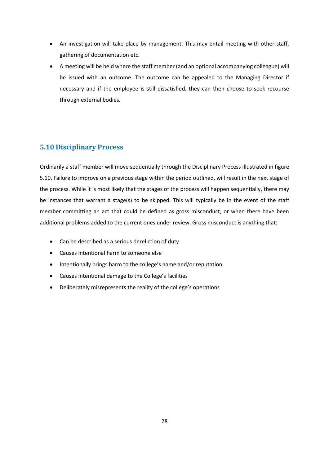- An investigation will take place by management. This may entail meeting with other staff, gathering of documentation etc.
- A meeting will be held where the staff member (and an optional accompanying colleague) will be issued with an outcome. The outcome can be appealed to the Managing Director if necessary and if the employee is still dissatisfied, they can then choose to seek recourse through external bodies.

## **5.10 Disciplinary Process**

Ordinarily a staff member will move sequentially through the Disciplinary Process illustrated in figure 5.10. Failure to improve on a previous stage within the period outlined, will result in the next stage of the process. While it is most likely that the stages of the process will happen sequentially, there may be instances that warrant a stage(s) to be skipped. This will typically be in the event of the staff member committing an act that could be defined as gross misconduct, or when there have been additional problems added to the current ones under review. Gross misconduct is anything that:

- Can be described as a serious dereliction of duty
- Causes intentional harm to someone else
- Intentionally brings harm to the college's name and/or reputation
- Causes intentional damage to the College's facilities
- Deliberately misrepresents the reality of the college's operations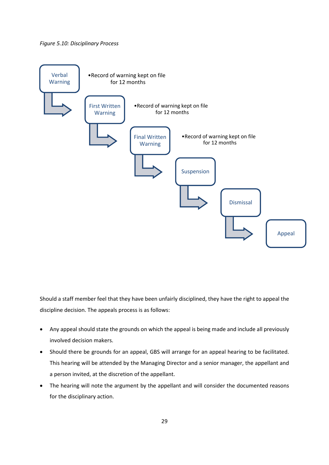#### *Figure 5.10: Disciplinary Process*



Should a staff member feel that they have been unfairly disciplined, they have the right to appeal the discipline decision. The appeals process is as follows:

- Any appeal should state the grounds on which the appeal is being made and include all previously involved decision makers.
- Should there be grounds for an appeal, GBS will arrange for an appeal hearing to be facilitated. This hearing will be attended by the Managing Director and a senior manager, the appellant and a person invited, at the discretion of the appellant.
- The hearing will note the argument by the appellant and will consider the documented reasons for the disciplinary action.